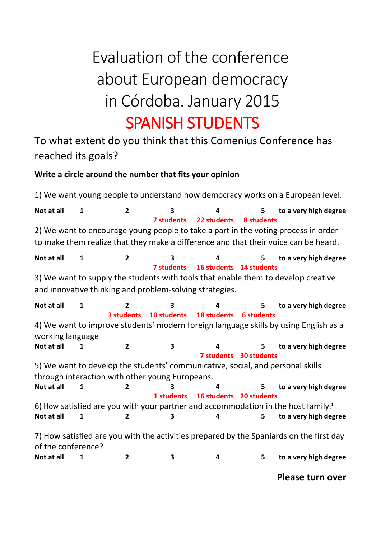## Evaluation of the conference about European democracy in Córdoba. January 2015 SPANISH STUDENTS

To what extent do you think that this Comenius Conference has reached its goals?

## **Write a circle around the number that fits your opinion**

1) We want young people to understand how democracy works on a European level. **Not at all 1 2 3 4 5 to a very high degree 7 students 22 students 8 students** 2) We want to encourage young people to take a part in the voting process in order to make them realize that they make a difference and that their voice can be heard. **Not at all 1 2 3 4 5 to a very high degree 7 students 16 students 14 students** 3) We want to supply the students with tools that enable them to develop creative and innovative thinking and problem-solving strategies. **Not at all 1 2 3 4 5 to a very high degree 3 students 10 students 18 students 6 students** 4) We want to improve students' modern foreign language skills by using English as a working language **Not at all 1 2 3 4 5 to a very high degree 7 students 30 students** 5) We want to develop the students' communicative, social, and personal skills through interaction with other young Europeans. **Not at all 1 2 3 4 5 to a very high degree 1 students 16 students 20 students** 6) How satisfied are you with your partner and accommodation in the host family? **Not at all 1 2 3 4 5 to a very high degree** 7) How satisfied are you with the activities prepared by the Spaniards on the first day of the conference? **Not at all 1 2 3 4 5 to a very high degree**

**Please turn over**